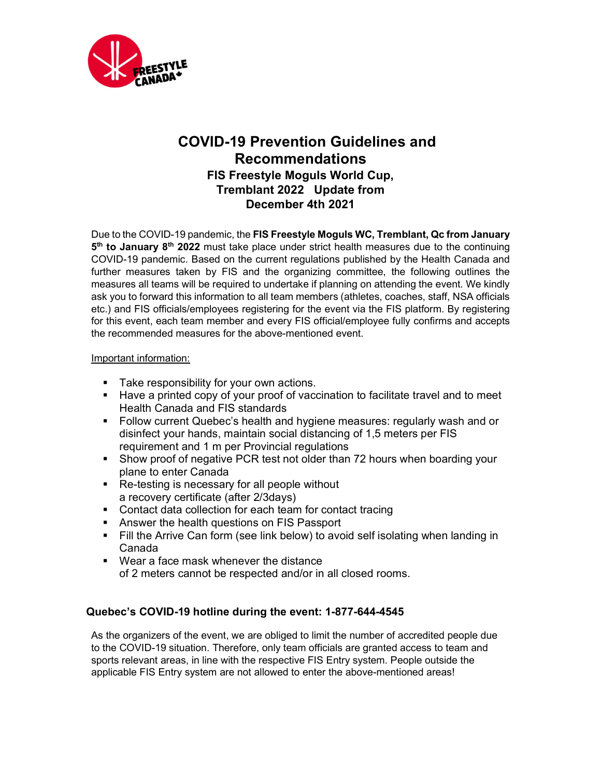

# COVID-19 Prevention Guidelines and Recommendations FIS Freestyle Moguls World Cup, Tremblant 2022 Update from December 4th 2021

Due to the COVID-19 pandemic, the FIS Freestyle Moguls WC, Tremblant, Qc from January 5<sup>th</sup> to January 8<sup>th</sup> 2022 must take place under strict health measures due to the continuing COVID-19 pandemic. Based on the current regulations published by the Health Canada and further measures taken by FIS and the organizing committee, the following outlines the measures all teams will be required to undertake if planning on attending the event. We kindly ask you to forward this information to all team members (athletes, coaches, staff, NSA officials etc.) and FIS officials/employees registering for the event via the FIS platform. By registering for this event, each team member and every FIS official/employee fully confirms and accepts the recommended measures for the above-mentioned event.

#### Important information:

- **Take responsibility for your own actions.**
- Have a printed copy of your proof of vaccination to facilitate travel and to meet Health Canada and FIS standards
- **Follow current Quebec's health and hygiene measures: regularly wash and or** disinfect your hands, maintain social distancing of 1,5 meters per FIS requirement and 1 m per Provincial regulations
- Show proof of negative PCR test not older than 72 hours when boarding your plane to enter Canada
- Re-testing is necessary for all people without a recovery certificate (after 2/3days)
- **Contact data collection for each team for contact tracing**
- **Answer the health questions on FIS Passport**
- Fill the Arrive Can form (see link below) to avoid self isolating when landing in Canada
- Wear a face mask whenever the distance of 2 meters cannot be respected and/or in all closed rooms.

# Quebec's COVID-19 hotline during the event: 1-877-644-4545

As the organizers of the event, we are obliged to limit the number of accredited people due to the COVID-19 situation. Therefore, only team officials are granted access to team and sports relevant areas, in line with the respective FIS Entry system. People outside the applicable FIS Entry system are not allowed to enter the above-mentioned areas!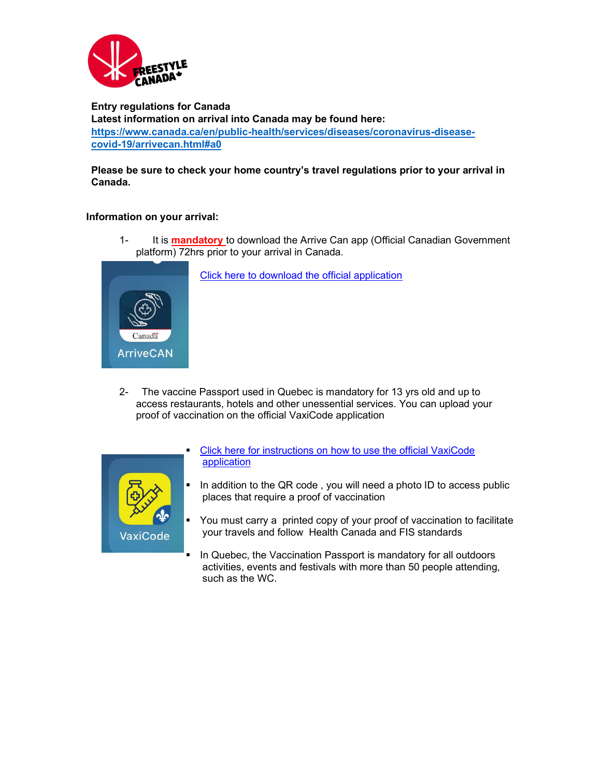

Entry regulations for Canada Latest information on arrival into Canada may be found here: https://www.canada.ca/en/public-health/services/diseases/coronavirus-diseasecovid-19/arrivecan.html#a0

#### Please be sure to check your home country's travel regulations prior to your arrival in Canada.

#### Information on your arrival:

1- It is **mandatory** to download the Arrive Can app (Official Canadian Government platform) 72hrs prior to your arrival in Canada.



Click here to download the official application

2- The vaccine Passport used in Quebec is mandatory for 13 yrs old and up to access restaurants, hotels and other unessential services. You can upload your proof of vaccination on the official VaxiCode application



- Click here for instructions on how to use the official VaxiCode application
- In addition to the QR code, you will need a photo ID to access public places that require a proof of vaccination
- You must carry a printed copy of your proof of vaccination to facilitate your travels and follow Health Canada and FIS standards
- **IF In Quebec, the Vaccination Passport is mandatory for all outdoors** activities, events and festivals with more than 50 people attending, such as the WC.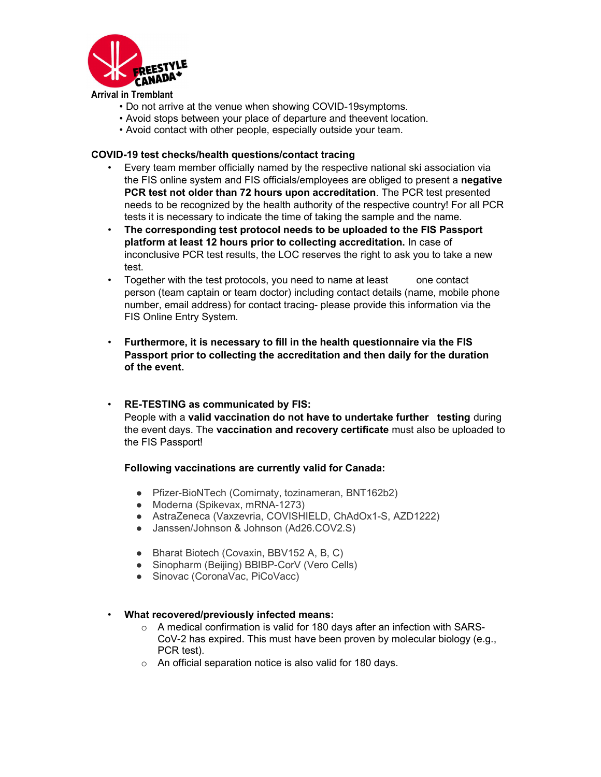

Arrival in Tremblant

- Do not arrive at the venue when showing COVID-19symptoms.
- Avoid stops between your place of departure and theevent location.
- Avoid contact with other people, especially outside your team.

#### COVID-19 test checks/health questions/contact tracing

- Every team member officially named by the respective national ski association via the FIS online system and FIS officials/employees are obliged to present a negative PCR test not older than 72 hours upon accreditation. The PCR test presented needs to be recognized by the health authority of the respective country! For all PCR tests it is necessary to indicate the time of taking the sample and the name.
- The corresponding test protocol needs to be uploaded to the FIS Passport platform at least 12 hours prior to collecting accreditation. In case of inconclusive PCR test results, the LOC reserves the right to ask you to take a new test.
- Together with the test protocols, you need to name at least one contact person (team captain or team doctor) including contact details (name, mobile phone number, email address) for contact tracing- please provide this information via the FIS Online Entry System.
- Furthermore, it is necessary to fill in the health questionnaire via the FIS Passport prior to collecting the accreditation and then daily for the duration of the event.
- RE-TESTING as communicated by FIS: People with a valid vaccination do not have to undertake further testing during the event days. The vaccination and recovery certificate must also be uploaded to the FIS Passport!

#### Following vaccinations are currently valid for Canada:

- Pfizer-BioNTech (Comirnaty, tozinameran, BNT162b2)
- Moderna (Spikevax, mRNA-1273)
- AstraZeneca (Vaxzevria, COVISHIELD, ChAdOx1-S, AZD1222)
- Janssen/Johnson & Johnson (Ad26.COV2.S)
- Bharat Biotech (Covaxin, BBV152 A, B, C)
- Sinopharm (Beijing) BBIBP-CorV (Vero Cells)
- Sinovac (CoronaVac, PiCoVacc)

#### • What recovered/previously infected means:

- o A medical confirmation is valid for 180 days after an infection with SARS-CoV-2 has expired. This must have been proven by molecular biology (e.g., PCR test).
- o An official separation notice is also valid for 180 days.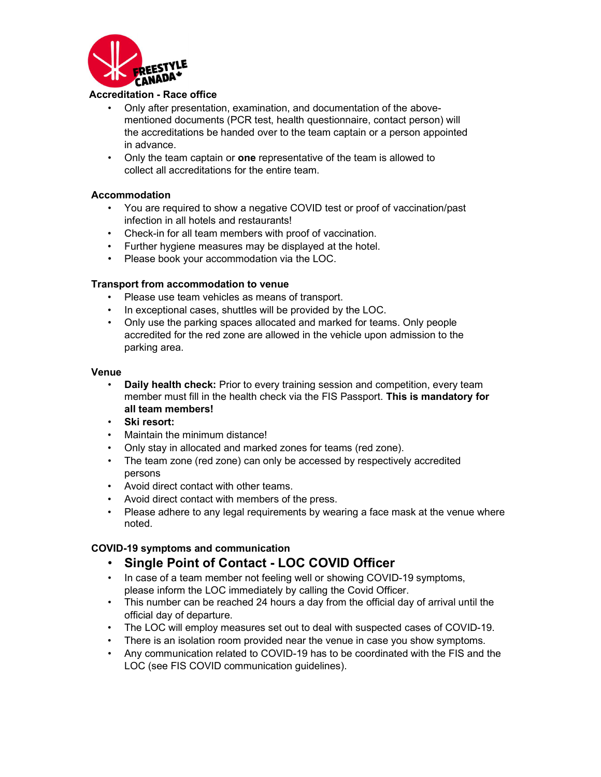

#### Accreditation - Race office

- Only after presentation, examination, and documentation of the abovementioned documents (PCR test, health questionnaire, contact person) will the accreditations be handed over to the team captain or a person appointed in advance.
- Only the team captain or **one** representative of the team is allowed to collect all accreditations for the entire team.

#### Accommodation

- You are required to show a negative COVID test or proof of vaccination/past infection in all hotels and restaurants!
- Check-in for all team members with proof of vaccination.
- Further hygiene measures may be displayed at the hotel.
- Please book your accommodation via the LOC.

#### Transport from accommodation to venue

- Please use team vehicles as means of transport.
- In exceptional cases, shuttles will be provided by the LOC.
- Only use the parking spaces allocated and marked for teams. Only people accredited for the red zone are allowed in the vehicle upon admission to the parking area.

#### Venue

- Daily health check: Prior to every training session and competition, every team member must fill in the health check via the FIS Passport. This is mandatory for all team members!
- Ski resort:
- Maintain the minimum distance!
- Only stay in allocated and marked zones for teams (red zone).
- The team zone (red zone) can only be accessed by respectively accredited persons
- Avoid direct contact with other teams.
- Avoid direct contact with members of the press.
- Please adhere to any legal requirements by wearing a face mask at the venue where noted.

## COVID-19 symptoms and communication

- Single Point of Contact LOC COVID Officer
- In case of a team member not feeling well or showing COVID-19 symptoms, please inform the LOC immediately by calling the Covid Officer.
- This number can be reached 24 hours a day from the official day of arrival until the official day of departure.
- The LOC will employ measures set out to deal with suspected cases of COVID-19.
- There is an isolation room provided near the venue in case you show symptoms.
- Any communication related to COVID-19 has to be coordinated with the FIS and the LOC (see FIS COVID communication guidelines).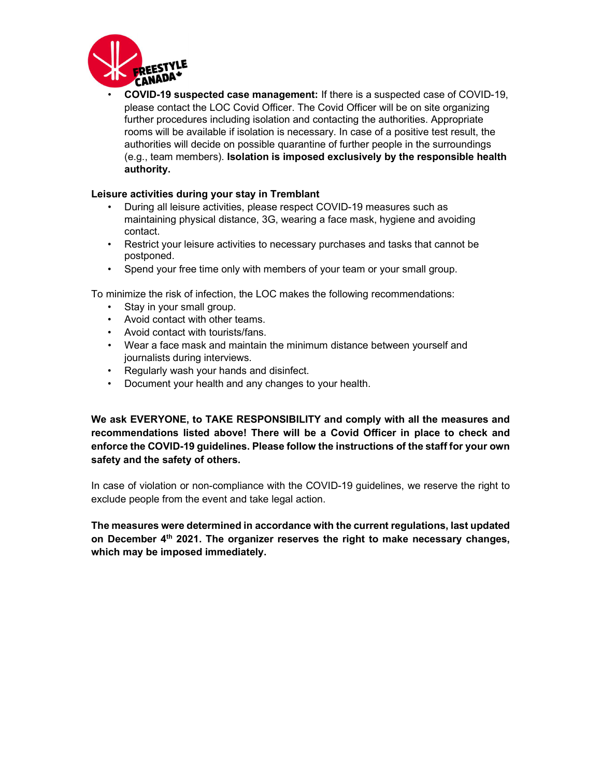

• COVID-19 suspected case management: If there is a suspected case of COVID-19, please contact the LOC Covid Officer. The Covid Officer will be on site organizing further procedures including isolation and contacting the authorities. Appropriate rooms will be available if isolation is necessary. In case of a positive test result, the authorities will decide on possible quarantine of further people in the surroundings (e.g., team members). Isolation is imposed exclusively by the responsible health authority.

#### Leisure activities during your stay in Tremblant

- During all leisure activities, please respect COVID-19 measures such as maintaining physical distance, 3G, wearing a face mask, hygiene and avoiding contact.
- Restrict your leisure activities to necessary purchases and tasks that cannot be postponed.
- Spend your free time only with members of your team or your small group.

To minimize the risk of infection, the LOC makes the following recommendations:

- Stay in your small group.
- Avoid contact with other teams.
- Avoid contact with tourists/fans.
- Wear a face mask and maintain the minimum distance between yourself and journalists during interviews.
- Regularly wash your hands and disinfect.
- Document your health and any changes to your health.

We ask EVERYONE, to TAKE RESPONSIBILITY and comply with all the measures and recommendations listed above! There will be a Covid Officer in place to check and enforce the COVID-19 guidelines. Please follow the instructions of the staff for your own safety and the safety of others.

In case of violation or non-compliance with the COVID-19 guidelines, we reserve the right to exclude people from the event and take legal action.

The measures were determined in accordance with the current regulations, last updated on December 4<sup>th</sup> 2021. The organizer reserves the right to make necessary changes, which may be imposed immediately.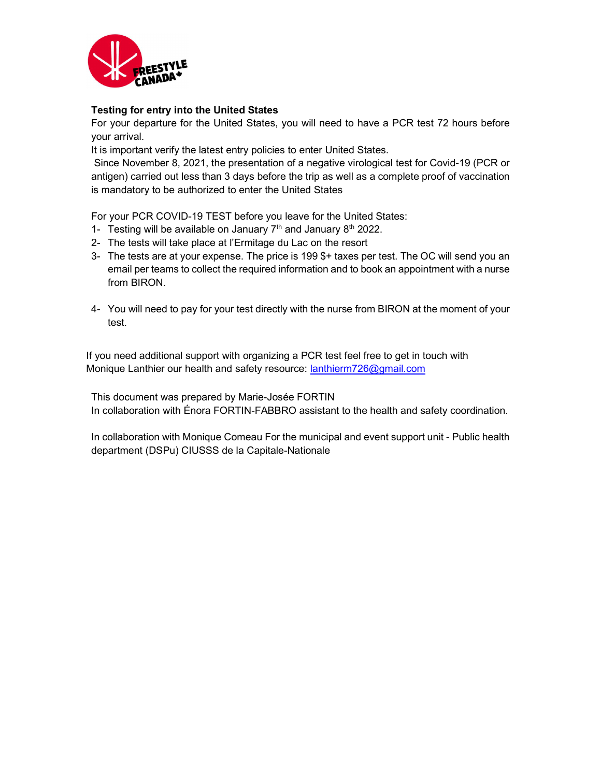

## Testing for entry into the United States

For your departure for the United States, you will need to have a PCR test 72 hours before your arrival.

It is important verify the latest entry policies to enter United States.

 Since November 8, 2021, the presentation of a negative virological test for Covid-19 (PCR or antigen) carried out less than 3 days before the trip as well as a complete proof of vaccination is mandatory to be authorized to enter the United States

For your PCR COVID-19 TEST before you leave for the United States:

- 1- Testing will be available on January  $7<sup>th</sup>$  and January  $8<sup>th</sup>$  2022.
- 2- The tests will take place at l'Ermitage du Lac on the resort
- 3- The tests are at your expense. The price is 199 \$+ taxes per test. The OC will send you an email per teams to collect the required information and to book an appointment with a nurse from BIRON.
- 4- You will need to pay for your test directly with the nurse from BIRON at the moment of your test.

If you need additional support with organizing a PCR test feel free to get in touch with Monique Lanthier our health and safety resource: **lanthierm726@gmail.com** 

This document was prepared by Marie-Josée FORTIN In collaboration with Énora FORTIN-FABBRO assistant to the health and safety coordination.

In collaboration with Monique Comeau For the municipal and event support unit - Public health department (DSPu) CIUSSS de la Capitale-Nationale